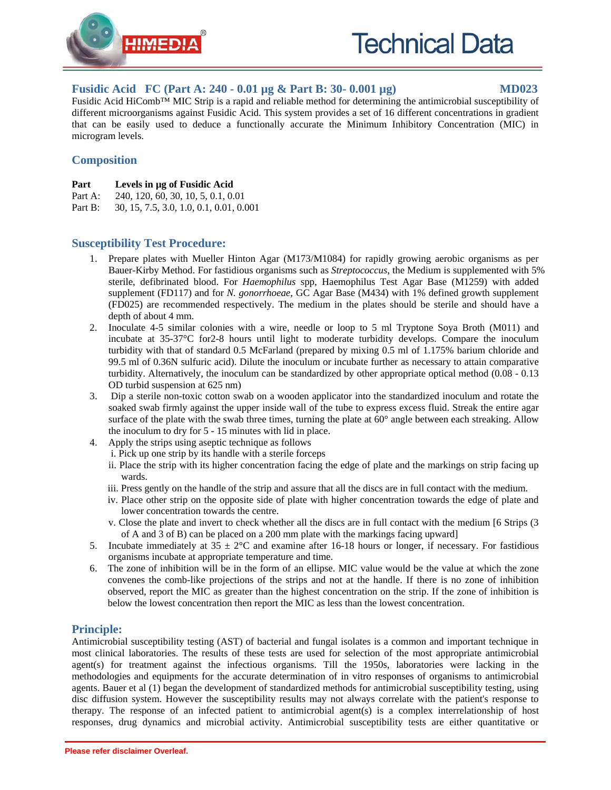

# **Fusidic Acid FC (Part A: 240 - 0.01 µg & Part B: 30- 0.001 µg) MD023**

Fusidic Acid HiComb™ MIC Strip is a rapid and reliable method for determining the antimicrobial susceptibility of different microorganisms against Fusidic Acid. This system provides a set of 16 different concentrations in gradient that can be easily used to deduce a functionally accurate the Minimum Inhibitory Concentration (MIC) in microgram levels.

# **Composition**

- **Part Levels in µg of Fusidic Acid**
- Part A: 240, 120, 60, 30, 10, 5, 0.1, 0.01
- Part B: 30, 15, 7.5, 3.0, 1.0, 0.1, 0.01, 0.001

# **Susceptibility Test Procedure:**

- 1. Prepare plates with Mueller Hinton Agar (M173/M1084) for rapidly growing aerobic organisms as per Bauer-Kirby Method. For fastidious organisms such as *Streptococcus*, the Medium is supplemented with 5% sterile, defibrinated blood. For *Haemophilus* spp, Haemophilus Test Agar Base (M1259) with added supplement (FD117) and for *N. gonorrhoeae*, GC Agar Base (M434) with 1% defined growth supplement (FD025) are recommended respectively. The medium in the plates should be sterile and should have a depth of about 4 mm.
- 2. Inoculate 4-5 similar colonies with a wire, needle or loop to 5 ml Tryptone Soya Broth (M011) and incubate at 35-37°C for2-8 hours until light to moderate turbidity develops. Compare the inoculum turbidity with that of standard 0.5 McFarland (prepared by mixing 0.5 ml of 1.175% barium chloride and 99.5 ml of 0.36N sulfuric acid). Dilute the inoculum or incubate further as necessary to attain comparative turbidity. Alternatively, the inoculum can be standardized by other appropriate optical method (0.08 - 0.13 OD turbid suspension at 625 nm)
- 3. Dip a sterile non-toxic cotton swab on a wooden applicator into the standardized inoculum and rotate the soaked swab firmly against the upper inside wall of the tube to express excess fluid. Streak the entire agar surface of the plate with the swab three times, turning the plate at 60° angle between each streaking. Allow the inoculum to dry for 5 - 15 minutes with lid in place.
- 4. Apply the strips using aseptic technique as follows
	- i. Pick up one strip by its handle with a sterile forceps
		- ii. Place the strip with its higher concentration facing the edge of plate and the markings on strip facing up wards.
		- iii. Press gently on the handle of the strip and assure that all the discs are in full contact with the medium.
		- iv. Place other strip on the opposite side of plate with higher concentration towards the edge of plate and lower concentration towards the centre.
		- v. Close the plate and invert to check whether all the discs are in full contact with the medium [6 Strips (3 of A and 3 of B) can be placed on a 200 mm plate with the markings facing upward]
- 5. Incubate immediately at  $35 \pm 2^{\circ}\text{C}$  and examine after 16-18 hours or longer, if necessary. For fastidious organisms incubate at appropriate temperature and time.
- 6. The zone of inhibition will be in the form of an ellipse. MIC value would be the value at which the zone convenes the comb-like projections of the strips and not at the handle. If there is no zone of inhibition observed, report the MIC as greater than the highest concentration on the strip. If the zone of inhibition is below the lowest concentration then report the MIC as less than the lowest concentration.

### **Principle:**

Antimicrobial susceptibility testing (AST) of bacterial and fungal isolates is a common and important technique in most clinical laboratories. The results of these tests are used for selection of the most appropriate antimicrobial agent(s) for treatment against the infectious organisms. Till the 1950s, laboratories were lacking in the methodologies and equipments for the accurate determination of in vitro responses of organisms to antimicrobial agents. Bauer et al (1) began the development of standardized methods for antimicrobial susceptibility testing, using disc diffusion system. However the susceptibility results may not always correlate with the patient's response to therapy. The response of an infected patient to antimicrobial agent(s) is a complex interrelationship of host responses, drug dynamics and microbial activity. Antimicrobial susceptibility tests are either quantitative or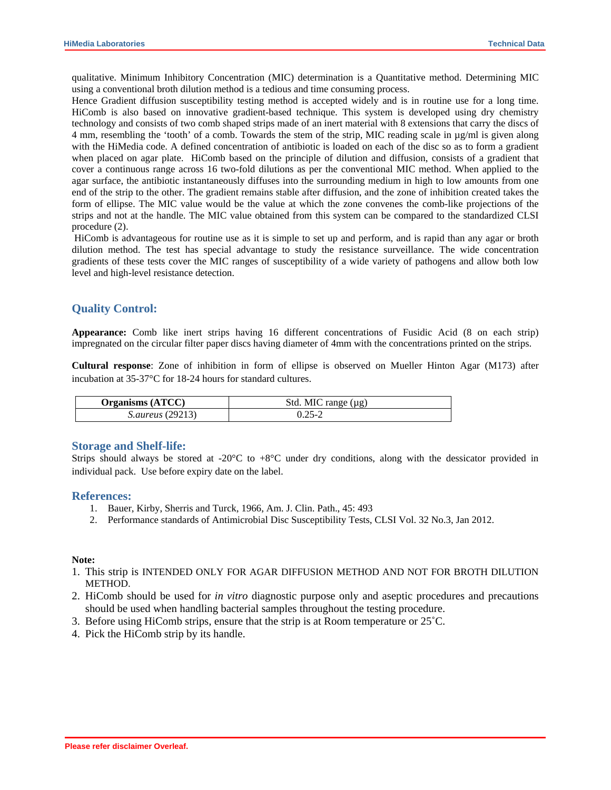qualitative. Minimum Inhibitory Concentration (MIC) determination is a Quantitative method. Determining MIC using a conventional broth dilution method is a tedious and time consuming process.

Hence Gradient diffusion susceptibility testing method is accepted widely and is in routine use for a long time. HiComb is also based on innovative gradient-based technique. This system is developed using dry chemistry technology and consists of two comb shaped strips made of an inert material with 8 extensions that carry the discs of 4 mm, resembling the 'tooth' of a comb. Towards the stem of the strip, MIC reading scale in µg/ml is given along with the HiMedia code. A defined concentration of antibiotic is loaded on each of the disc so as to form a gradient when placed on agar plate. HiComb based on the principle of dilution and diffusion, consists of a gradient that cover a continuous range across 16 two-fold dilutions as per the conventional MIC method. When applied to the agar surface, the antibiotic instantaneously diffuses into the surrounding medium in high to low amounts from one end of the strip to the other. The gradient remains stable after diffusion, and the zone of inhibition created takes the form of ellipse. The MIC value would be the value at which the zone convenes the comb-like projections of the strips and not at the handle. The MIC value obtained from this system can be compared to the standardized CLSI procedure (2).

 HiComb is advantageous for routine use as it is simple to set up and perform, and is rapid than any agar or broth dilution method. The test has special advantage to study the resistance surveillance. The wide concentration gradients of these tests cover the MIC ranges of susceptibility of a wide variety of pathogens and allow both low level and high-level resistance detection.

#### **Quality Control:**

**Appearance:** Comb like inert strips having 16 different concentrations of Fusidic Acid (8 on each strip) impregnated on the circular filter paper discs having diameter of 4mm with the concentrations printed on the strips.

**Cultural response**: Zone of inhibition in form of ellipse is observed on Mueller Hinton Agar (M173) after incubation at 35-37°C for 18-24 hours for standard cultures.

| <b>Organisms (ATCC)</b> | Std. MIC range $(\mu g)$ |
|-------------------------|--------------------------|
| <i>S.aureus</i> (29213) |                          |

#### **Storage and Shelf-life:**

Strips should always be stored at -20 $^{\circ}$ C to +8 $^{\circ}$ C under dry conditions, along with the dessicator provided in individual pack. Use before expiry date on the label.

#### **References:**

- 1. Bauer, Kirby, Sherris and Turck, 1966, Am. J. Clin. Path., 45: 493
- 2. Performance standards of Antimicrobial Disc Susceptibility Tests, CLSI Vol. 32 No.3, Jan 2012.

#### **Note:**

- 1. This strip is INTENDED ONLY FOR AGAR DIFFUSION METHOD AND NOT FOR BROTH DILUTION METHOD.
- 2. HiComb should be used for *in vitro* diagnostic purpose only and aseptic procedures and precautions should be used when handling bacterial samples throughout the testing procedure.
- 3. Before using HiComb strips, ensure that the strip is at Room temperature or  $25^{\circ}$ C.
- 4. Pick the HiComb strip by its handle.